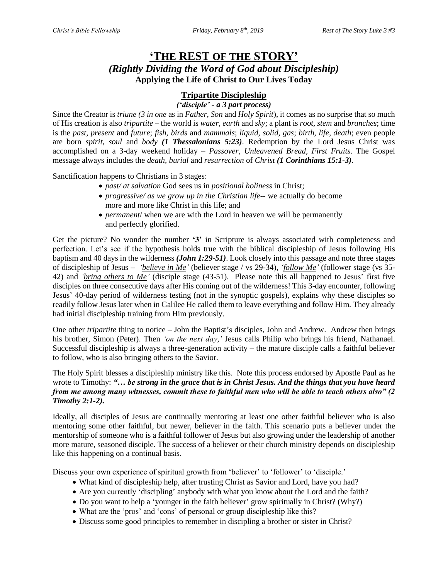# **'THE REST OF THE STORY'** *(Rightly Dividing the Word of God about Discipleship)* **Applying the Life of Christ to Our Lives Today**

# **Tripartite Discipleship**

*('disciple' - a 3 part process)*

Since the Creator is *triune (3 in one* as in *Father, Son* and *Holy Spirit*), it comes as no surprise that so much of His creation is also *tripartite* – the world is *water, earth* and *sky*; a plant is *root, stem* and *branches*; time is the *past, present* and *future*; *fish, birds* and *mammals*; *liquid, solid, gas*; *birth, life, death*; even people are born *spirit, soul* and *body (1 Thessalonians 5:23)*. Redemption by the Lord Jesus Christ was accomplished on a 3-day weekend holiday – *Passover, Unleavened Bread, First Fruits*. The Gospel message always includes the *death, burial* and *resurrection* of *Christ (1 Corinthians 15:1-3)*.

Sanctification happens to Christians in 3 stages:

- *past/ at salvation* God sees us in *positional holiness* in Christ;
- *progressive*/ *as we grow up in the Christian life*-- we actually do become more and more like Christ in this life; and
- *permanent*/ when we are with the Lord in heaven we will be permanently and perfectly glorified.

Get the picture? No wonder the number **'3'** in Scripture is always associated with completeness and perfection. Let's see if the hypothesis holds true with the biblical discipleship of Jesus following His baptism and 40 days in the wilderness *(John 1:29-51)*. Look closely into this passage and note three stages of discipleship of Jesus – *'believe in Me'* (believer stage / vs 29-34), *'follow Me'* (follower stage (vs 35- 42) and *'bring others to Me'* (disciple stage (43-51). Please note this all happened to Jesus' first five disciples on three consecutive days after His coming out of the wilderness! This 3-day encounter, following Jesus' 40-day period of wilderness testing (not in the synoptic gospels), explains why these disciples so readily follow Jesus later when in Galilee He called them to leave everything and follow Him. They already had initial discipleship training from Him previously.

One other *tripartite* thing to notice – John the Baptist's disciples, John and Andrew. Andrew then brings his brother, Simon (Peter). Then *'on the next day,'* Jesus calls Philip who brings his friend, Nathanael. Successful discipleship is always a three-generation activity – the mature disciple calls a faithful believer to follow, who is also bringing others to the Savior.

The Holy Spirit blesses a discipleship ministry like this. Note this process endorsed by Apostle Paul as he wrote to Timothy: *"… be strong in the grace that is in Christ Jesus. And the things that you have heard from me among many witnesses, commit these to faithful men who will be able to teach others also" (2 Timothy 2:1-2).*

Ideally, all disciples of Jesus are continually mentoring at least one other faithful believer who is also mentoring some other faithful, but newer, believer in the faith. This scenario puts a believer under the mentorship of someone who is a faithful follower of Jesus but also growing under the leadership of another more mature, seasoned disciple. The success of a believer or their church ministry depends on discipleship like this happening on a continual basis.

Discuss your own experience of spiritual growth from 'believer' to 'follower' to 'disciple.'

- What kind of discipleship help, after trusting Christ as Savior and Lord, have you had?
- Are you currently 'discipling' anybody with what you know about the Lord and the faith?
- Do you want to help a 'younger in the faith believer' grow spiritually in Christ? (Why?)
- What are the 'pros' and 'cons' of personal or group discipleship like this?
- Discuss some good principles to remember in discipling a brother or sister in Christ?